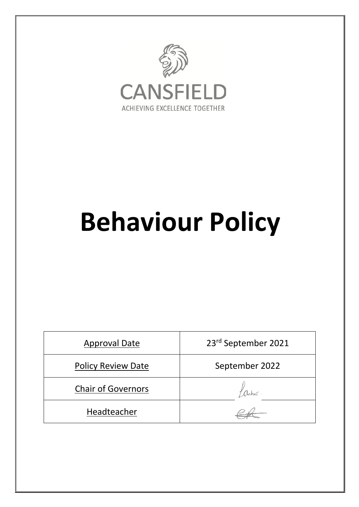

# **Behaviour Policy**

| <b>Approval Date</b>      | 23rd September 2021 |
|---------------------------|---------------------|
| <b>Policy Review Date</b> | September 2022      |
| <b>Chair of Governors</b> |                     |
| Headteacher               |                     |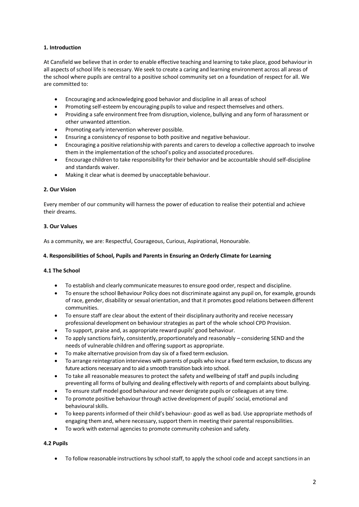# **1. Introduction**

At Cansfield we believe that in order to enable effective teaching and learning to take place, good behaviourin all aspects of school life is necessary. We seek to create a caring and learning environment across all areas of the school where pupils are central to a positive school community set on a foundation of respect for all. We are committed to:

- Encouraging and acknowledging good behavior and discipline in all areas of school
- Promoting self-esteem by encouraging pupils to value and respect themselves and others.
- Providing a safe environment free from disruption, violence, bullying and any form of harassment or other unwanted attention.
- Promoting early intervention wherever possible.
- Ensuring a consistency of response to both positive and negative behaviour.
- Encouraging a positive relationship with parents and carers to develop a collective approach to involve them in the implementation of the school's policy and associated procedures.
- Encourage children to take responsibility for their behavior and be accountable should self-discipline and standards waiver.
- Making it clear what is deemed by unacceptable behaviour.

## **2. Our Vision**

Every member of our community will harness the power of education to realise their potential and achieve their dreams.

# **3. Our Values**

As a community, we are: Respectful, Courageous, Curious, Aspirational, Honourable.

# **4. Responsibilities of School, Pupils and Parents in Ensuring an Orderly Climate for Learning**

# **4.1 The School**

- To establish and clearly communicate measures to ensure good order, respect and discipline.
- To ensure the school Behaviour Policy does not discriminate against any pupil on, for example, grounds of race, gender, disability or sexual orientation, and that it promotes good relations between different communities.
- To ensure staff are clear about the extent of their disciplinary authority and receive necessary professional development on behaviourstrategies as part of the whole school CPD Provision.
- To support, praise and, as appropriate reward pupils' good behaviour.
- To apply sanctions fairly, consistently, proportionately and reasonably considering SEND and the needs of vulnerable children and offering support as appropriate.
- To make alternative provision from day six of a fixed term exclusion.
- To arrange reintegration interviews with parents of pupils who incur a fixed term exclusion, to discuss any future actions necessary and to aid a smooth transition back into school.
- To take all reasonable measures to protect the safety and wellbeing of staff and pupils including preventing all forms of bullying and dealing effectively with reports of and complaints about bullying.
- To ensure staff model good behaviour and never denigrate pupils or colleagues at any time.
- To promote positive behaviour through active development of pupils' social, emotional and behavioural skills.
- To keep parentsinformed of their child's behaviour- good as well as bad. Use appropriate methods of engaging them and, where necessary, support them in meeting their parental responsibilities.
- To work with external agencies to promote community cohesion and safety.

# **4.2 Pupils**

• To follow reasonable instructions by school staff, to apply the school code and accept sanctions in an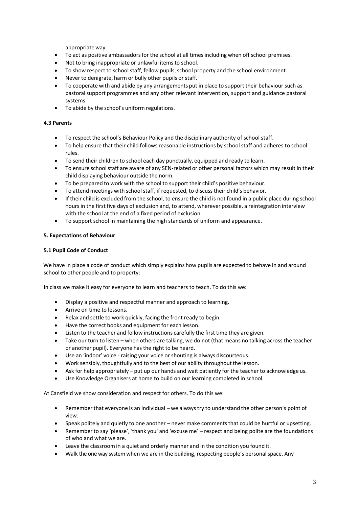appropriate way.

- To act as positive ambassadorsfor the school at all times including when off school premises.
- Not to bring inappropriate or unlawful items to school.
- To show respect to school staff, fellow pupils, school property and the school environment.
- Never to denigrate, harm or bully other pupils or staff.
- To cooperate with and abide by any arrangements put in place to support their behaviour such as pastoralsupport programmes and any other relevant intervention, support and guidance pastoral systems.
- To abide by the school's uniform regulations.

## **4.3 Parents**

- To respect the school's Behaviour Policy and the disciplinary authority of school staff.
- To help ensure that their child follows reasonable instructions by school staff and adheres to school rules.
- To send their children to school each day punctually, equipped and ready to learn.
- To ensure school staff are aware of any SEN-related or other personal factors which may result in their child displaying behaviour outside the norm.
- To be prepared to work with the school to support their child's positive behaviour.
- To attend meetings with schoolstaff, if requested, to discusstheir child's behavior.
- If their child is excluded from the school, to ensure the child is not found in a public place during school hours in the first five days of exclusion and, to attend, wherever possible, a reintegration interview with the school at the end of a fixed period of exclusion.
- To support school in maintaining the high standards of uniform and appearance.

## **5. Expectations of Behaviour**

## **5.1 Pupil Code of Conduct**

We have in place a code of conduct which simply explains how pupils are expected to behave in and around school to other people and to property:

In class we make it easy for everyone to learn and teachers to teach. To do this we:

- Display a positive and respectful manner and approach to learning.
- Arrive on time to lessons.
- Relax and settle to work quickly, facing the front ready to begin.
- Have the correct books and equipment for each lesson.
- Listen to the teacher and follow instructions carefully the first time they are given.
- Take our turn to listen when others are talking, we do not (that means no talking across the teacher or another pupil). Everyone has the right to be heard.
- Use an 'indoor' voice raising your voice or shouting is always discourteous.
- Work sensibly, thoughtfully and to the best of our ability throughout the lesson.
- Ask for help appropriately put up our hands and wait patiently for the teacher to acknowledge us.
- Use Knowledge Organisers at home to build on our learning completed in school.

At Cansfield we show consideration and respect for others. To do this we:

- Rememberthat everyone is an individual we alwaystry to understand the other person's point of view.
- Speak politely and quietly to one another never make comments that could be hurtful or upsetting.
- Rememberto say 'please', 'thank you' and 'excuse me' respect and being polite are the foundations of who and what we are.
- Leave the classroom in a quiet and orderly manner and in the condition you found it.
- Walk the one way system when we are in the building, respecting people's personalspace. Any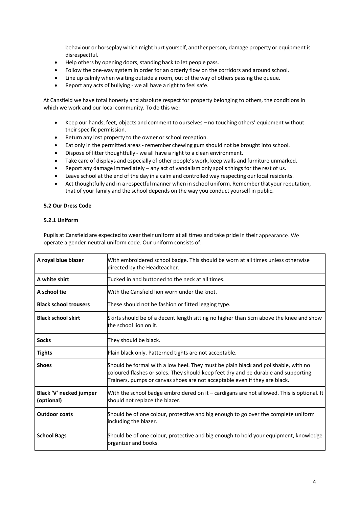behaviour or horseplay which might hurt yourself, another person, damage property or equipment is disrespectful.

- Help others by opening doors, standing back to let people pass.
- Follow the one-way system in order for an orderly flow on the corridors and around school.
- Line up calmly when waiting outside a room, out of the way of others passing the queue.
- Report any acts of bullying we all have a right to feel safe.

At Cansfield we have total honesty and absolute respect for property belonging to others, the conditions in which we work and our local community. To do this we:

- Keep our hands, feet, objects and comment to ourselves no touching others' equipment without their specific permission.
- Return any lost property to the owner or school reception.
- Eat only in the permitted areas remember chewing gum should not be brought into school.
- Dispose of litter thoughtfully we all have a right to a clean environment.
- Take care of displays and especially of other people's work, keep walls and furniture unmarked.
- Report any damage immediately any act of vandalism only spoils things for the rest of us.
- Leave school at the end of the day in a calm and controlled way respecting our local residents.
- Act thoughtfully and in a respectful manner when in school uniform. Rememberthat your reputation, that of your family and the school depends on the way you conduct yourself in public.

## **5.2 Our Dress Code**

## **5.2.1 Uniform**

Pupils at Cansfield are expected to wear their uniform at all times and take pride in their appearance. We operate a gender-neutral uniform code. Our uniform consists of:

| A royal blue blazer                   | With embroidered school badge. This should be worn at all times unless otherwise<br>directed by the Headteacher.                                                                                                                                        |
|---------------------------------------|---------------------------------------------------------------------------------------------------------------------------------------------------------------------------------------------------------------------------------------------------------|
| A white shirt                         | Tucked in and buttoned to the neck at all times.                                                                                                                                                                                                        |
| A school tie                          | With the Cansfield lion worn under the knot.                                                                                                                                                                                                            |
| <b>Black school trousers</b>          | These should not be fashion or fitted legging type.                                                                                                                                                                                                     |
| <b>Black school skirt</b>             | Skirts should be of a decent length sitting no higher than 5cm above the knee and show<br>the school lion on it.                                                                                                                                        |
| <b>Socks</b>                          | They should be black.                                                                                                                                                                                                                                   |
| <b>Tights</b>                         | Plain black only. Patterned tights are not acceptable.                                                                                                                                                                                                  |
| <b>Shoes</b>                          | Should be formal with a low heel. They must be plain black and polishable, with no<br>coloured flashes or soles. They should keep feet dry and be durable and supporting.<br>Trainers, pumps or canvas shoes are not acceptable even if they are black. |
| Black 'V' necked jumper<br>(optional) | With the school badge embroidered on it – cardigans are not allowed. This is optional. It<br>should not replace the blazer.                                                                                                                             |
| <b>Outdoor coats</b>                  | Should be of one colour, protective and big enough to go over the complete uniform<br>including the blazer.                                                                                                                                             |
| <b>School Bags</b>                    | Should be of one colour, protective and big enough to hold your equipment, knowledge<br>organizer and books.                                                                                                                                            |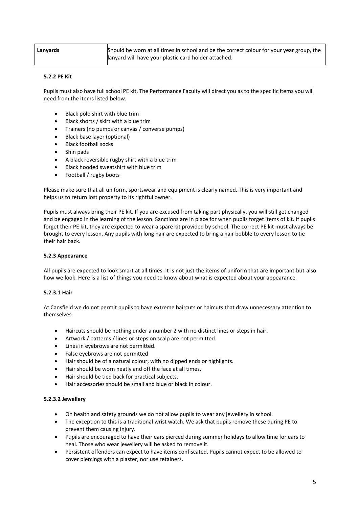| Lanyards | Should be worn at all times in school and be the correct colour for your year group, the |
|----------|------------------------------------------------------------------------------------------|
|          | lanyard will have your plastic card holder attached.                                     |

## **5.2.2 PE Kit**

Pupils must also have full school PE kit. The Performance Faculty will direct you as to the specific items you will need from the items listed below.

- Black polo shirt with blue trim
- Black shorts / skirt with a blue trim
- Trainers (no pumps or canvas / converse pumps)
- Black base layer (optional)
- Black football socks
- Shin pads
- A black reversible rugby shirt with a blue trim
- Black hooded sweatshirt with blue trim
- Football / rugby boots

Please make sure that all uniform, sportswear and equipment is clearly named. This is very important and helps us to return lost property to its rightful owner.

Pupils must always bring their PE kit. If you are excused from taking part physically, you will still get changed and be engaged in the learning of the lesson. Sanctions are in place for when pupils forget items of kit. If pupils forget their PE kit, they are expected to wear a spare kit provided by school. The correct PE kit must always be brought to every lesson. Any pupils with long hair are expected to bring a hair bobble to every lesson to tie their hair back.

## **5.2.3 Appearance**

All pupils are expected to look smart at all times. It is not just the items of uniform that are important but also how we look. Here is a list of things you need to know about what is expected about your appearance.

## **5.2.3.1 Hair**

At Cansfield we do not permit pupils to have extreme haircuts or haircuts that draw unnecessary attention to themselves.

- Haircuts should be nothing under a number 2 with no distinct lines or steps in hair.
- Artwork / patterns / lines or steps on scalp are not permitted.
- Lines in eyebrows are not permitted.
- False eyebrows are not permitted
- Hair should be of a natural colour, with no dipped ends or highlights.
- Hair should be worn neatly and off the face at all times.
- Hair should be tied back for practical subjects.
- Hair accessories should be small and blue or black in colour.

## **5.2.3.2 Jewellery**

- On health and safety grounds we do not allow pupils to wear any jewellery in school.
- The exception to this is a traditional wrist watch. We ask that pupils remove these during PE to prevent them causing injury.
- Pupils are encouraged to have their ears pierced during summer holidays to allow time for ears to heal. Those who wear jewellery will be asked to remove it.
- Persistent offenders can expect to have items confiscated. Pupils cannot expect to be allowed to cover piercings with a plaster, nor use retainers.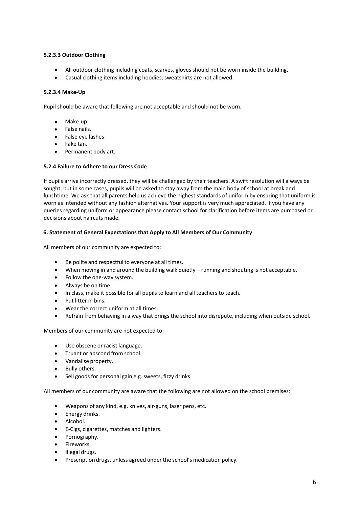## **5.2.3.3 Outdoor Clothing**

- All outdoor clothing including coats, scarves, gloves should not be worn inside the building.
- Casual clothing items including hoodies, sweatshirts are not allowed.

## **5.2.3.4 Make-Up**

Pupil should be aware that following are not acceptable and should not be worn.

- Make-up.
- False nails.
- False eye lashes
- Fake tan.
- Permanent body art.

## **5.2.4 Failure to Adhere to our Dress Code**

If pupils arrive incorrectly dressed, they will be challenged by their teachers. A swift resolution will always be sought, but in some cases, pupils will be asked to stay away from the main body of school at break and lunchtime. We ask that all parents help us achieve the highest standards of uniform by ensuring that uniform is worn as intended without any fashion alternatives. Your support is very much appreciated. If you have any queries regarding uniform or appearance please contact school for clarification before items are purchased or decisions about haircuts made.

## **6. Statement of General Expectations that Apply to All Members of Our Community**

All members of our community are expected to:

- Be polite and respectful to everyone at all times.
- When moving in and around the building walk quietly running and shouting is not acceptable.
- Follow the one-way system.
- Always be on time.
- In class, make it possible for all pupils to learn and all teachers to teach.
- Put litter in bins.
- Wear the correct uniform at all times.
- Refrain from behaving in a way that brings the school into disrepute, including when outside school.

Members of our community are not expected to:

- Use obscene or racist language.
- Truant or abscond from school.
- Vandalise property.
- Bully others.
- Sell goods for personal gain e.g. sweets, fizzy drinks.

All members of our community are aware that the following are not allowed on the school premises:

- Weapons of any kind, e.g. knives, air-guns, laser pens, etc.
- Energy drinks.
- Alcohol.
- E-Cigs, cigarettes, matches and lighters.
- Pornography.
- Fireworks.
- Illegal drugs.
- Prescription drugs, unless agreed under the school's medication policy.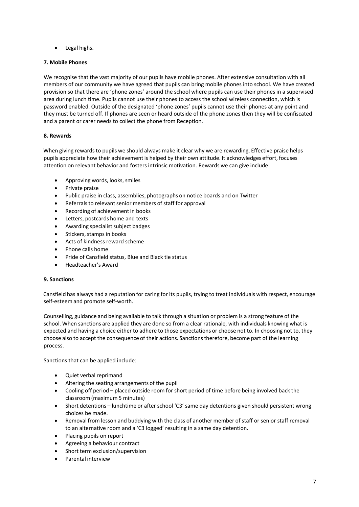• Legal highs.

## **7. Mobile Phones**

We recognise that the vast majority of our pupils have mobile phones. After extensive consultation with all members of our community we have agreed that pupils can bring mobile phones into school. We have created provision so that there are 'phone zones' around the school where pupils can use their phones in a supervised area during lunch time. Pupils cannot use their phones to access the school wireless connection, which is password enabled. Outside of the designated 'phone zones' pupils cannot use their phones at any point and they must be turned off. If phones are seen or heard outside of the phone zones then they will be confiscated and a parent or carer needs to collect the phone from Reception.

## **8. Rewards**

When giving rewards to pupils we should always make it clear why we are rewarding. Effective praise helps pupils appreciate how their achievementis helped by their own attitude. It acknowledges effort, focuses attention on relevant behavior and fostersintrinsic motivation. Rewards we can give include:

- Approving words, looks, smiles
- Private praise
- Public praise in class, assemblies, photographs on notice boards and on Twitter
- Referrals to relevant senior members of staff for approval
- Recording of achievement in books
- Letters, postcards home and texts
- Awarding specialist subject badges
- Stickers, stamps in books
- Acts of kindness reward scheme
- Phone calls home
- Pride of Cansfield status, Blue and Black tie status
- Headteacher's Award

## **9. Sanctions**

Cansfield has always had a reputation for caring for its pupils, trying to treat individuals with respect, encourage self-esteem and promote self-worth.

Counselling, guidance and being available to talk through a situation or problem is a strong feature of the school. When sanctions are applied they are done so from a clear rationale, with individuals knowing what is expected and having a choice either to adhere to those expectations or choose not to. In choosing not to, they choose also to accept the consequence of their actions. Sanctionstherefore, become part of the learning process.

Sanctions that can be applied include:

- Quiet verbal reprimand
- Altering the seating arrangements of the pupil
- Cooling off period placed outside room for short period of time before being involved back the classroom (maximum 5 minutes)
- Short detentions lunchtime or after school 'C3' same day detentions given should persistent wrong choices be made.
- Removal from lesson and buddying with the class of another member of staff or senior staff removal to an alternative room and a 'C3 logged' resulting in a same day detention.
- Placing pupils on report
- Agreeing a behaviour contract
- Short term exclusion/supervision
- Parental interview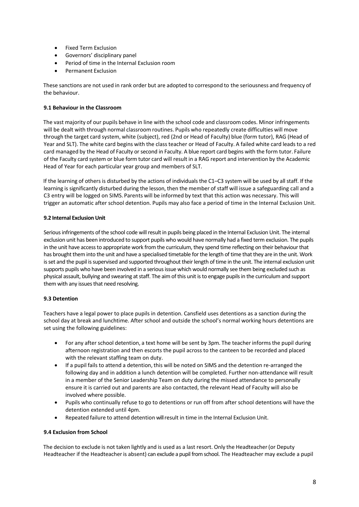- Fixed Term Exclusion
- Governors' disciplinary panel
- Period of time in the Internal Exclusion room
- Permanent Exclusion

These sanctions are not used in rank order but are adopted to correspond to the seriousness and frequency of the behaviour.

## **9.1 Behaviour in the Classroom**

The vast majority of our pupils behave in line with the school code and classroom codes. Minor infringements will be dealt with through normal classroom routines. Pupils who repeatedly create difficulties will move through the target card system, white (subject), red (2nd or Head of Faculty) blue (form tutor), RAG (Head of Year and SLT). The white card begins with the class teacher or Head of Faculty. A failed white card leads to a red card managed by the Head of Faculty or second in Faculty. A blue report card begins with the form tutor. Failure of the Faculty card system or blue form tutor card will result in a RAG report and intervention by the Academic Head of Year for each particular year group and members of SLT.

If the learning of others is disturbed by the actions of individuals the C1–C3 system will be used by all staff. If the learning is significantly disturbed during the lesson, then the member of staff will issue a safeguarding call and a C3 entry will be logged on SIMS. Parents will be informed by text that this action was necessary. This will trigger an automatic after school detention. Pupils may also face a period of time in the Internal Exclusion Unit.

## **9.2 Internal Exclusion Unit**

Serious infringements of the school code will result in pupils being placed in the Internal Exclusion Unit. The internal exclusion unit has been introduced to support pupils who would have normally had a fixed term exclusion. The pupils in the unit have access to appropriate work from the curriculum, they spend time reflecting on their behaviour that has brought them into the unit and have a specialised timetable for the length of time that they are in the unit. Work is set and the pupil is supervised and supported throughout their length of time in the unit. The internal exclusion unit supports pupils who have been involved in a serious issue which would normally see them being excluded such as physical assault, bullying and swearing at staff. The aim of this unit is to engage pupils in the curriculum and support them with any issues that need resolving.

# **9.3 Detention**

Teachers have a legal power to place pupils in detention. Cansfield uses detentions as a sanction during the school day at break and lunchtime. After school and outside the school's normal working hours detentions are set using the following guidelines:

- For any after school detention, a text home will be sent by 3pm. The teacher informsthe pupil during afternoon registration and then escorts the pupil across to the canteen to be recorded and placed with the relevant staffing team on duty.
- If a pupil fails to attend a detention, this will be noted on SIMS and the detention re-arranged the following day and in addition a lunch detention will be completed. Further non-attendance will result in a member of the Senior Leadership Team on duty during the missed attendance to personally ensure it is carried out and parents are also contacted, the relevant Head of Faculty will also be involved where possible.
- Pupils who continually refuse to go to detentions or run off from after school detentions will have the detention extended until 4pm.
- Repeated failure to attend detention will result in time in the Internal Exclusion Unit.

# **9.4 Exclusion from School**

The decision to exclude is not taken lightly and is used as a last resort. Only the Headteacher(or Deputy Headteacher if the Headteacheris absent) can exclude a pupil from school. The Headteacher may exclude a pupil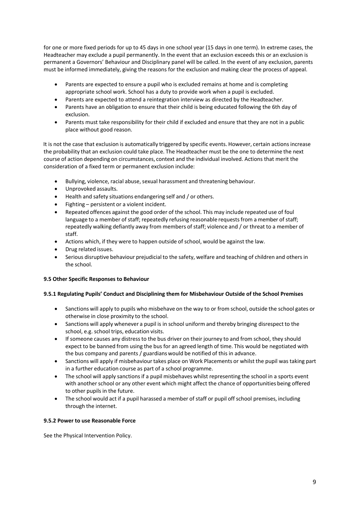for one or more fixed periods for up to 45 days in one school year (15 days in one term). In extreme cases, the Headteacher may exclude a pupil permanently. In the event that an exclusion exceeds this or an exclusion is permanent a Governors' Behaviour and Disciplinary panel will be called. In the event of any exclusion, parents must be informed immediately, giving the reasons for the exclusion and making clear the process of appeal.

- Parents are expected to ensure a pupil who is excluded remains at home and is completing appropriate school work. School has a duty to provide work when a pupil is excluded.
- Parents are expected to attend a reintegration interview as directed by the Headteacher.
- Parents have an obligation to ensure that their child is being educated following the 6th day of exclusion.
- Parents must take responsibility for their child if excluded and ensure that they are not in a public place without good reason.

It is not the case that exclusion is automatically triggered by specific events. However, certain actions increase the probability that an exclusion could take place. The Headteacher must be the one to determine the next course of action depending on circumstances, context and the individual involved. Actions that merit the consideration of a fixed term or permanent exclusion include:

- Bullying, violence, racial abuse, sexual harassment and threatening behaviour.
- Unprovoked assaults.
- Health and safety situations endangering self and / or others.
- Fighting persistent or a violent incident.
- Repeated offences against the good order of the school. This may include repeated use of foul language to a member of staff; repeatedly refusing reasonable requests from a member of staff; repeatedly walking defiantly away from members of staff; violence and / or threat to a member of staff.
- Actions which, if they were to happen outside of school, would be against the law.
- Drug related issues.
- Serious disruptive behaviour prejudicial to the safety, welfare and teaching of children and othersin the school.

## **9.5 Other Specific Responses to Behaviour**

## **9.5.1 Regulating Pupils' Conduct and Disciplining them for Misbehaviour Outside of the School Premises**

- Sanctions will apply to pupils who misbehave on the way to or from school, outside the school gates or otherwise in close proximity to the school.
- Sanctions will apply whenever a pupil is in school uniform and thereby bringing disrespect to the school, e.g. school trips, education visits.
- If someone causes any distress to the bus driver on their journey to and from school, they should expect to be banned from using the bus for an agreed length of time. This would be negotiated with the bus company and parents / guardianswould be notified of this in advance.
- Sanctions will apply if misbehaviourtakes place on Work Placements or whilst the pupil was taking part in a further education course as part of a school programme.
- The school will apply sanctions if a pupil misbehaves whilst representing the school in a sports event with another school or any other event which might affect the chance of opportunities being offered to other pupils in the future.
- The school would act if a pupil harassed a member of staff or pupil off school premises, including through the internet.

## **9.5.2 Power to use Reasonable Force**

See the Physical Intervention Policy.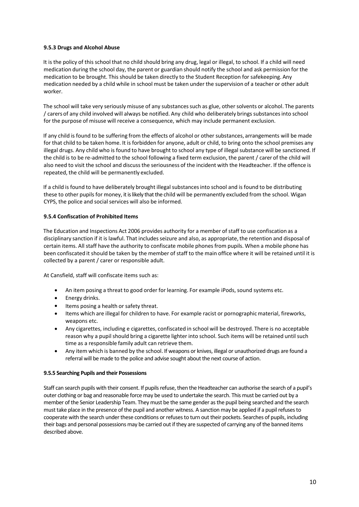## **9.5.3 Drugs and Alcohol Abuse**

It is the policy of this school that no child should bring any drug, legal or illegal, to school. If a child will need medication during the school day, the parent or guardian should notify the school and ask permission for the medication to be brought. This should be taken directly to the Student Reception for safekeeping. Any medication needed by a child while in school must be taken under the supervision of a teacher or other adult worker.

The school will take very seriously misuse of any substancessuch as glue, other solvents or alcohol. The parents / carers of any child involved will always be notified. Any child who deliberately bringssubstancesinto school for the purpose of misuse will receive a consequence, which may include permanent exclusion.

If any child is found to be suffering from the effects of alcohol or other substances, arrangements will be made for that child to be taken home. It is forbidden for anyone, adult or child, to bring onto the school premises any illegal drugs. Any child who is found to have brought to school any type of illegalsubstance will be sanctioned. If the child is to be re-admitted to the school following a fixed term exclusion, the parent / carer of the child will also need to visit the school and discuss the seriousness of the incident with the Headteacher. If the offence is repeated, the child will be permanently excluded.

If a child is found to have deliberately brought illegal substancesinto school and is found to be distributing these to other pupils for money, it is likely that the child will be permanently excluded from the school. Wigan CYPS, the police and social services will also be informed.

# **9.5.4 Confiscation of Prohibited Items**

The Education and Inspections Act 2006 provides authority for a member of staff to use confiscation as a disciplinary sanction if it is lawful. That includes seizure and also, as appropriate, the retention and disposal of certain items. All staff have the authority to confiscate mobile phonesfrom pupils. When a mobile phone has been confiscated it should be taken by the member of staff to the main office where it will be retained until it is collected by a parent / carer or responsible adult.

At Cansfield, staff will confiscate items such as:

- An item posing a threat to good order for learning. For example iPods, sound systems etc.
- Energy drinks.
- Items posing a health or safety threat.
- Items which are illegal for children to have. For example racist or pornographic material, fireworks, weapons etc.
- Any cigarettes, including e cigarettes, confiscated in school will be destroyed. There is no acceptable reason why a pupilshould bring a cigarette lighter into school. Such items will be retained until such time as a responsible family adult can retrieve them.
- Any item which is banned by the school. If weapons or knives, illegal or unauthorized drugs are found a referral will be made to the police and advise sought about the next course of action.

## **9.5.5 Searching Pupils and their Possessions**

Staff can search pupils with their consent. If pupils refuse, then the Headteacher can authorise the search of a pupil's outer clothing or bag and reasonable force may be used to undertake the search. This must be carried out by a member of the Senior Leadership Team. They must be the same gender as the pupil being searched and the search must take place in the presence of the pupil and another witness. A sanction may be applied if a pupilrefuses to cooperate with the search under these conditions or refuses to turn out their pockets. Searches of pupils, including their bags and personal possessions may be carried out if they are suspected of carrying any of the banned items described above.